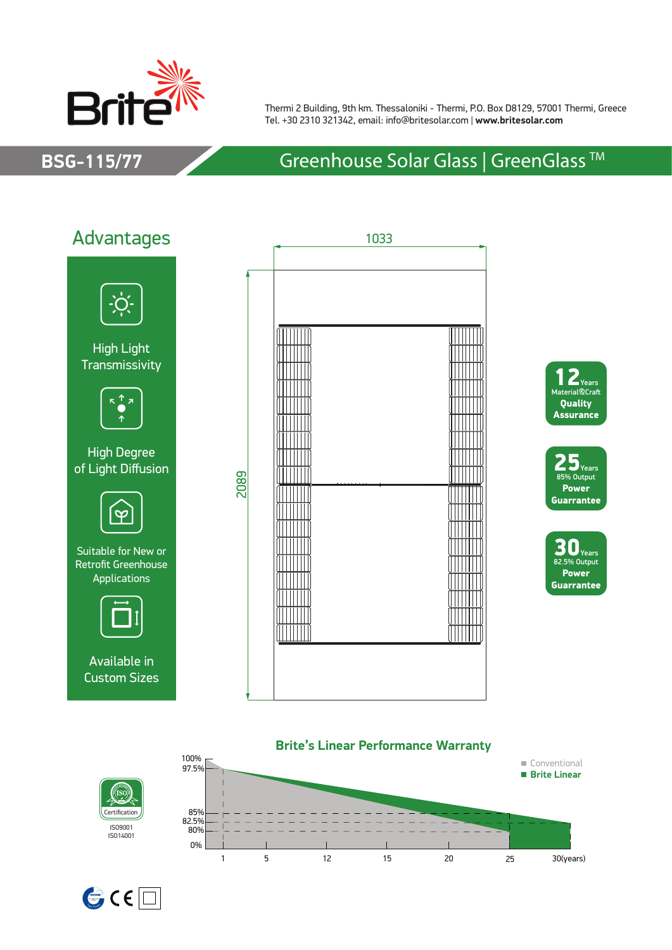

Thermi 2 Building, 9th km. Thessaloniki - Thermi, P.O. Box D8129, 57001 Thermi, Greece Tel. +30 2310 321342, email: info@britesolar.com | **www.britesolar.com**

## **BSG-115/77** Greenhouse Solar Glass | GreenGlass ™